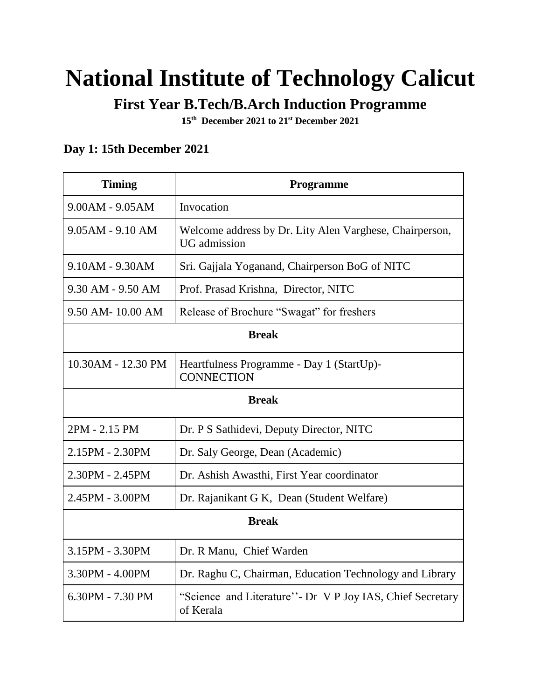# **National Institute of Technology Calicut**

**First Year B.Tech/B.Arch Induction Programme**

**15th December 2021 to 21st December 2021**

#### **Day 1: 15th December 2021**

| <b>Timing</b>      | <b>Programme</b>                                                               |  |
|--------------------|--------------------------------------------------------------------------------|--|
| 9.00AM - 9.05AM    | Invocation                                                                     |  |
| $9.05AM - 9.10 AM$ | Welcome address by Dr. Lity Alen Varghese, Chairperson,<br><b>UG</b> admission |  |
| 9.10AM - 9.30AM    | Sri. Gajjala Yoganand, Chairperson BoG of NITC                                 |  |
| 9.30 AM - 9.50 AM  | Prof. Prasad Krishna, Director, NITC                                           |  |
| 9.50 AM-10.00 AM   | Release of Brochure "Swagat" for freshers                                      |  |
| <b>Break</b>       |                                                                                |  |
| 10.30AM - 12.30 PM | Heartfulness Programme - Day 1 (StartUp)-<br><b>CONNECTION</b>                 |  |
| <b>Break</b>       |                                                                                |  |
| 2PM - 2.15 PM      | Dr. P S Sathidevi, Deputy Director, NITC                                       |  |
| 2.15PM - 2.30PM    | Dr. Saly George, Dean (Academic)                                               |  |
| 2.30PM - 2.45PM    | Dr. Ashish Awasthi, First Year coordinator                                     |  |
| 2.45PM - 3.00PM    | Dr. Rajanikant G K, Dean (Student Welfare)                                     |  |
| <b>Break</b>       |                                                                                |  |
| 3.15PM - 3.30PM    | Dr. R Manu, Chief Warden                                                       |  |
| 3.30PM - 4.00PM    | Dr. Raghu C, Chairman, Education Technology and Library                        |  |
| 6.30PM - 7.30 PM   | "Science and Literature" - Dr V P Joy IAS, Chief Secretary<br>of Kerala        |  |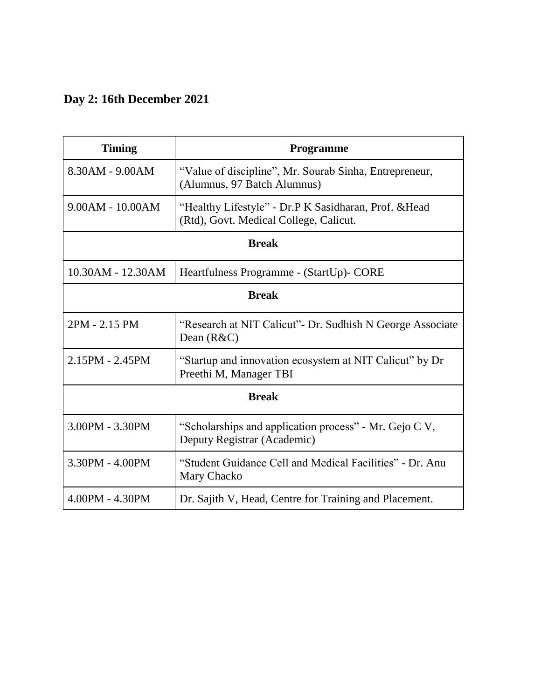### **Day 2: 16th December 2021**

| <b>Timing</b>         | <b>Programme</b>                                                                                |  |
|-----------------------|-------------------------------------------------------------------------------------------------|--|
| 8.30AM - 9.00AM       | "Value of discipline", Mr. Sourab Sinha, Entrepreneur,<br>(Alumnus, 97 Batch Alumnus)           |  |
| $9.00AM - 10.00AM$    | "Healthy Lifestyle" - Dr.P K Sasidharan, Prof. & Head<br>(Rtd), Govt. Medical College, Calicut. |  |
| <b>Break</b>          |                                                                                                 |  |
| 10.30AM - 12.30AM     | Heartfulness Programme - (StartUp)- CORE                                                        |  |
| <b>Break</b>          |                                                                                                 |  |
| 2PM - 2.15 PM         | "Research at NIT Calicut" - Dr. Sudhish N George Associate<br>Dean $(R&C)$                      |  |
| $2.15$ PM - $2.45$ PM | "Startup and innovation ecosystem at NIT Calicut" by Dr<br>Preethi M, Manager TBI               |  |
| <b>Break</b>          |                                                                                                 |  |
| 3.00PM - 3.30PM       | "Scholarships and application process" - Mr. Gejo C V,<br>Deputy Registrar (Academic)           |  |
| 3.30PM - 4.00PM       | "Student Guidance Cell and Medical Facilities" - Dr. Anu<br>Mary Chacko                         |  |
| 4.00PM - 4.30PM       | Dr. Sajith V, Head, Centre for Training and Placement.                                          |  |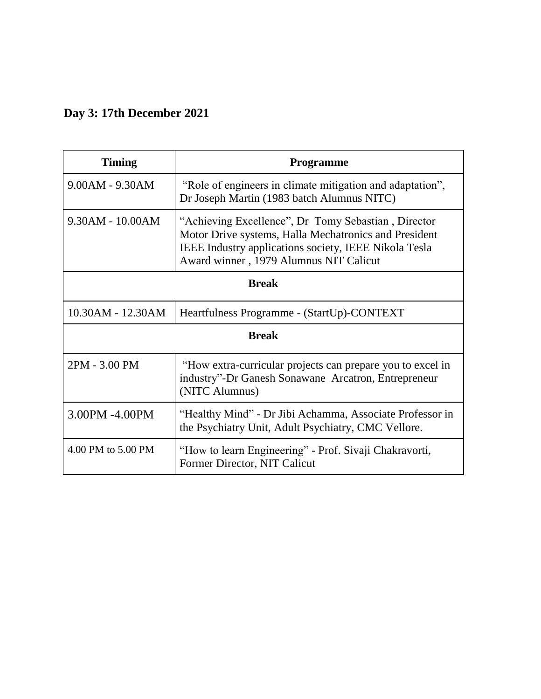### **Day 3: 17th December 2021**

| <b>Timing</b>      | <b>Programme</b>                                                                                                                                                                                                |  |
|--------------------|-----------------------------------------------------------------------------------------------------------------------------------------------------------------------------------------------------------------|--|
| 9.00AM - 9.30AM    | "Role of engineers in climate mitigation and adaptation",<br>Dr Joseph Martin (1983 batch Alumnus NITC)                                                                                                         |  |
| 9.30AM - 10.00AM   | "Achieving Excellence", Dr Tomy Sebastian, Director<br>Motor Drive systems, Halla Mechatronics and President<br>IEEE Industry applications society, IEEE Nikola Tesla<br>Award winner, 1979 Alumnus NIT Calicut |  |
| <b>Break</b>       |                                                                                                                                                                                                                 |  |
| 10.30AM - 12.30AM  | Heartfulness Programme - (StartUp)-CONTEXT                                                                                                                                                                      |  |
| <b>Break</b>       |                                                                                                                                                                                                                 |  |
| 2PM - 3.00 PM      | "How extra-curricular projects can prepare you to excel in<br>industry"-Dr Ganesh Sonawane Arcatron, Entrepreneur<br>(NITC Alumnus)                                                                             |  |
| 3.00PM -4.00PM     | "Healthy Mind" - Dr Jibi Achamma, Associate Professor in<br>the Psychiatry Unit, Adult Psychiatry, CMC Vellore.                                                                                                 |  |
| 4.00 PM to 5.00 PM | "How to learn Engineering" - Prof. Sivaji Chakravorti,<br>Former Director, NIT Calicut                                                                                                                          |  |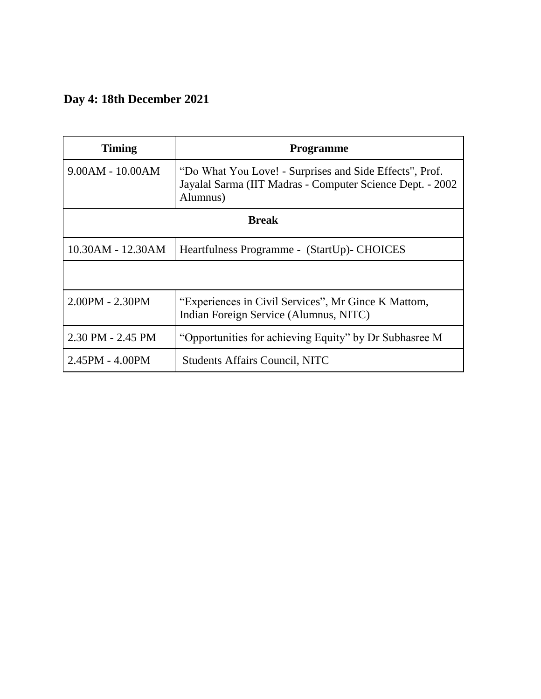### **Day 4: 18th December 2021**

| <b>Timing</b>         | Programme                                                                                                                        |  |
|-----------------------|----------------------------------------------------------------------------------------------------------------------------------|--|
| $9.00AM - 10.00AM$    | "Do What You Love! - Surprises and Side Effects", Prof.<br>Jayalal Sarma (IIT Madras - Computer Science Dept. - 2002<br>Alumnus) |  |
| <b>Break</b>          |                                                                                                                                  |  |
| 10.30AM - 12.30AM     | Heartfulness Programme - (StartUp)- CHOICES                                                                                      |  |
|                       |                                                                                                                                  |  |
| $2.00$ PM - $2.30$ PM | "Experiences in Civil Services", Mr Gince K Mattom,<br>Indian Foreign Service (Alumnus, NITC)                                    |  |
| 2.30 PM - 2.45 PM     | "Opportunities for achieving Equity" by Dr Subhasree M                                                                           |  |
| 2.45PM - 4.00PM       | <b>Students Affairs Council, NITC</b>                                                                                            |  |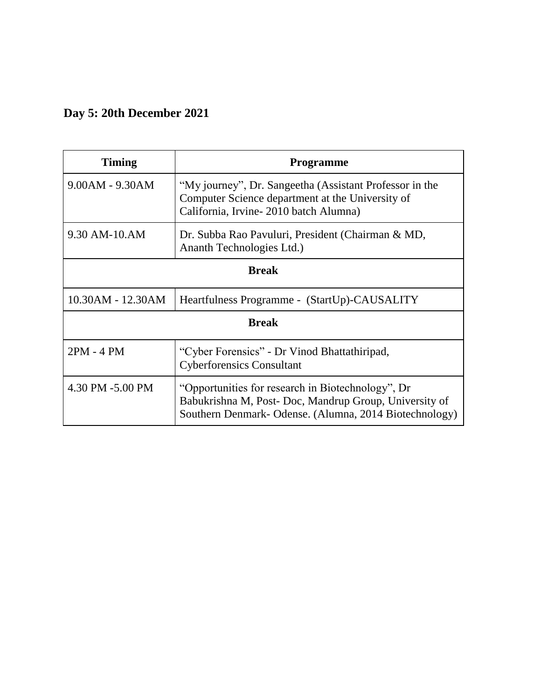### **Day 5: 20th December 2021**

| Timing            | <b>Programme</b>                                                                                                                                                     |  |
|-------------------|----------------------------------------------------------------------------------------------------------------------------------------------------------------------|--|
| $9.00AM - 9.30AM$ | "My journey", Dr. Sangeetha (Assistant Professor in the<br>Computer Science department at the University of<br>California, Irvine-2010 batch Alumna)                 |  |
| 9.30 AM-10.AM     | Dr. Subba Rao Pavuluri, President (Chairman & MD,<br>Ananth Technologies Ltd.)                                                                                       |  |
| <b>Break</b>      |                                                                                                                                                                      |  |
| 10.30AM - 12.30AM | Heartfulness Programme - (StartUp)-CAUSALITY                                                                                                                         |  |
| <b>Break</b>      |                                                                                                                                                                      |  |
| 2PM - 4 PM        | "Cyber Forensics" - Dr Vinod Bhattathiripad,<br><b>Cyberforensics Consultant</b>                                                                                     |  |
| 4.30 PM -5.00 PM  | "Opportunities for research in Biotechnology", Dr<br>Babukrishna M, Post-Doc, Mandrup Group, University of<br>Southern Denmark- Odense. (Alumna, 2014 Biotechnology) |  |